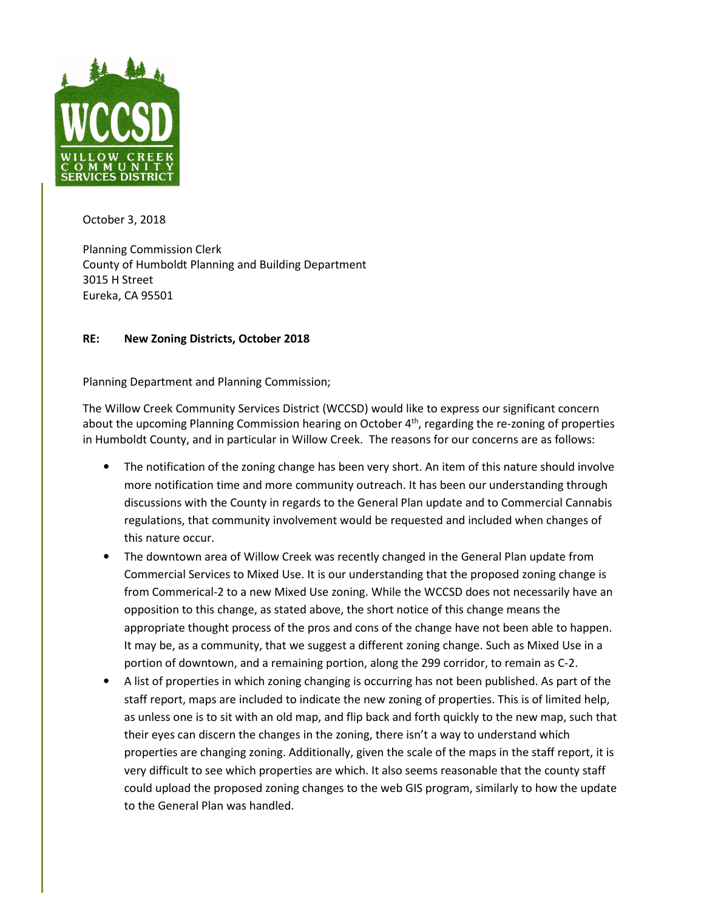

October 3, 2018

Planning Commission Clerk County of Humboldt Planning and Building Department 3015 H Street Eureka, CA 95501

## **RE: New Zoning Districts, October 2018**

Planning Department and Planning Commission;

The Willow Creek Community Services District (WCCSD) would like to express our significant concern about the upcoming Planning Commission hearing on October 4<sup>th</sup>, regarding the re-zoning of properties in Humboldt County, and in particular in Willow Creek. The reasons for our concerns are as follows:

- The notification of the zoning change has been very short. An item of this nature should involve more notification time and more community outreach. It has been our understanding through discussions with the County in regards to the General Plan update and to Commercial Cannabis regulations, that community involvement would be requested and included when changes of this nature occur.
- The downtown area of Willow Creek was recently changed in the General Plan update from Commercial Services to Mixed Use. It is our understanding that the proposed zoning change is from Commerical-2 to a new Mixed Use zoning. While the WCCSD does not necessarily have an opposition to this change, as stated above, the short notice of this change means the appropriate thought process of the pros and cons of the change have not been able to happen. It may be, as a community, that we suggest a different zoning change. Such as Mixed Use in a portion of downtown, and a remaining portion, along the 299 corridor, to remain as C-2.
- A list of properties in which zoning changing is occurring has not been published. As part of the staff report, maps are included to indicate the new zoning of properties. This is of limited help, as unless one is to sit with an old map, and flip back and forth quickly to the new map, such that their eyes can discern the changes in the zoning, there isn't a way to understand which properties are changing zoning. Additionally, given the scale of the maps in the staff report, it is very difficult to see which properties are which. It also seems reasonable that the county staff could upload the proposed zoning changes to the web GIS program, similarly to how the update to the General Plan was handled.